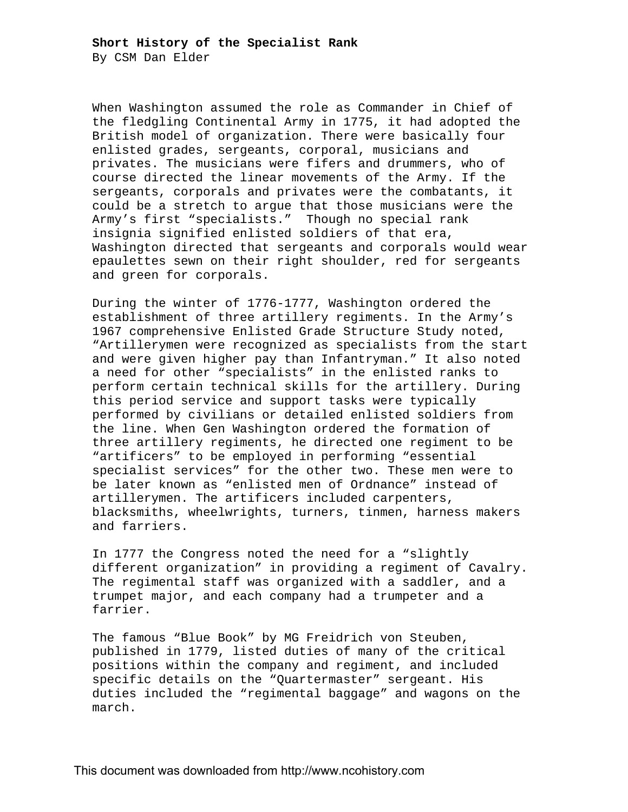By CSM Dan Elder

When Washington assumed the role as Commander in Chief of the fledgling Continental Army in 1775, it had adopted the British model of organization. There were basically four enlisted grades, sergeants, corporal, musicians and privates. The musicians were fifers and drummers, who of course directed the linear movements of the Army. If the sergeants, corporals and privates were the combatants, it could be a stretch to argue that those musicians were the Army's first "specialists." Though no special rank insignia signified enlisted soldiers of that era, Washington directed that sergeants and corporals would wear epaulettes sewn on their right shoulder, red for sergeants and green for corporals.

During the winter of 1776-1777, Washington ordered the establishment of three artillery regiments. In the Army's 1967 comprehensive Enlisted Grade Structure Study noted, "Artillerymen were recognized as specialists from the start and were given higher pay than Infantryman." It also noted a need for other "specialists" in the enlisted ranks to perform certain technical skills for the artillery. During this period service and support tasks were typically performed by civilians or detailed enlisted soldiers from the line. When Gen Washington ordered the formation of three artillery regiments, he directed one regiment to be "artificers" to be employed in performing "essential specialist services" for the other two. These men were to be later known as "enlisted men of Ordnance" instead of artillerymen. The artificers included carpenters, blacksmiths, wheelwrights, turners, tinmen, harness makers and farriers.

In 1777 the Congress noted the need for a "slightly different organization" in providing a regiment of Cavalry. The regimental staff was organized with a saddler, and a trumpet major, and each company had a trumpeter and a farrier.

The famous "Blue Book" by MG Freidrich von Steuben, published in 1779, listed duties of many of the critical positions within the company and regiment, and included specific details on the "Quartermaster" sergeant. His duties included the "regimental baggage" and wagons on the march.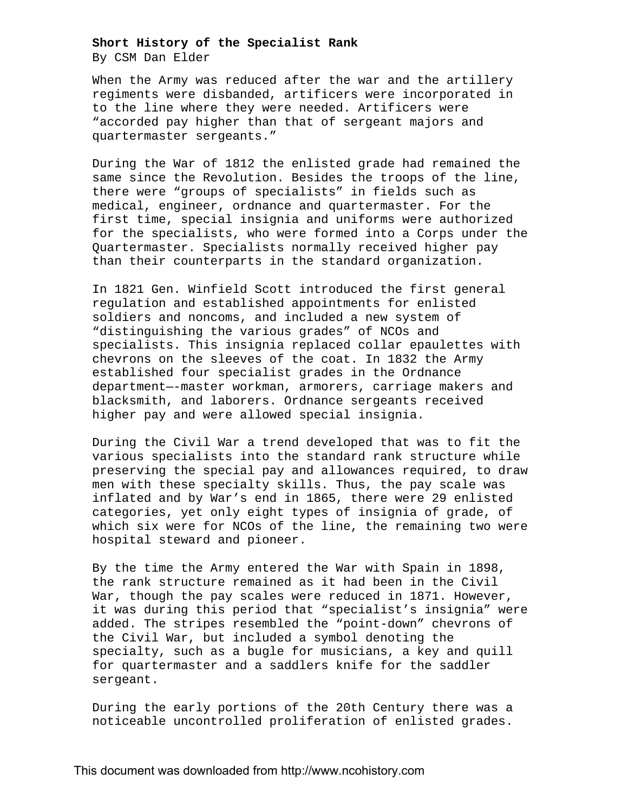## **Short History of the Specialist Rank**

By CSM Dan Elder

When the Army was reduced after the war and the artillery regiments were disbanded, artificers were incorporated in to the line where they were needed. Artificers were "accorded pay higher than that of sergeant majors and quartermaster sergeants."

During the War of 1812 the enlisted grade had remained the same since the Revolution. Besides the troops of the line, there were "groups of specialists" in fields such as medical, engineer, ordnance and quartermaster. For the first time, special insignia and uniforms were authorized for the specialists, who were formed into a Corps under the Quartermaster. Specialists normally received higher pay than their counterparts in the standard organization.

In 1821 Gen. Winfield Scott introduced the first general regulation and established appointments for enlisted soldiers and noncoms, and included a new system of "distinguishing the various grades" of NCOs and specialists. This insignia replaced collar epaulettes with chevrons on the sleeves of the coat. In 1832 the Army established four specialist grades in the Ordnance department—-master workman, armorers, carriage makers and blacksmith, and laborers. Ordnance sergeants received higher pay and were allowed special insignia.

During the Civil War a trend developed that was to fit the various specialists into the standard rank structure while preserving the special pay and allowances required, to draw men with these specialty skills. Thus, the pay scale was inflated and by War's end in 1865, there were 29 enlisted categories, yet only eight types of insignia of grade, of which six were for NCOs of the line, the remaining two were hospital steward and pioneer.

By the time the Army entered the War with Spain in 1898, the rank structure remained as it had been in the Civil War, though the pay scales were reduced in 1871. However, it was during this period that "specialist's insignia" were added. The stripes resembled the "point-down" chevrons of the Civil War, but included a symbol denoting the specialty, such as a bugle for musicians, a key and quill for quartermaster and a saddlers knife for the saddler sergeant.

During the early portions of the 20th Century there was a noticeable uncontrolled proliferation of enlisted grades.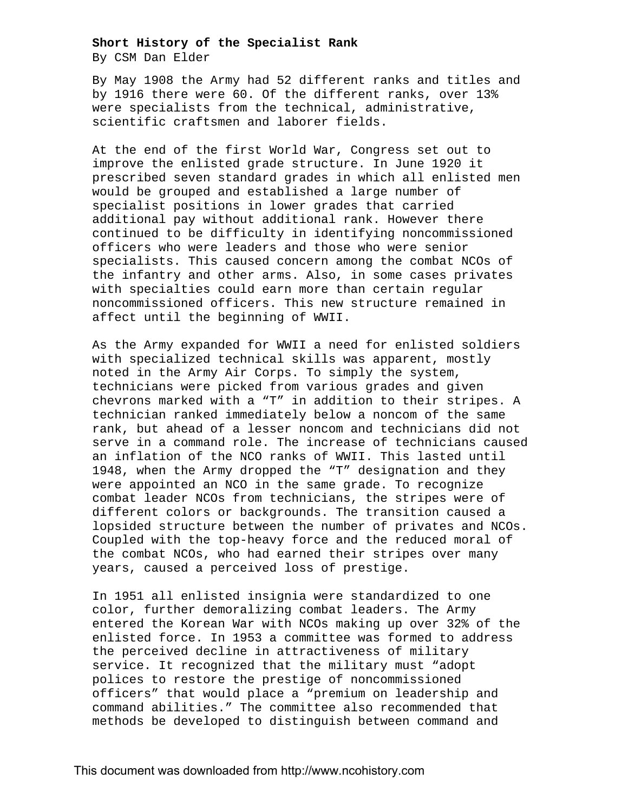## **Short History of the Specialist Rank**

By CSM Dan Elder

By May 1908 the Army had 52 different ranks and titles and by 1916 there were 60. Of the different ranks, over 13% were specialists from the technical, administrative, scientific craftsmen and laborer fields.

At the end of the first World War, Congress set out to improve the enlisted grade structure. In June 1920 it prescribed seven standard grades in which all enlisted men would be grouped and established a large number of specialist positions in lower grades that carried additional pay without additional rank. However there continued to be difficulty in identifying noncommissioned officers who were leaders and those who were senior specialists. This caused concern among the combat NCOs of the infantry and other arms. Also, in some cases privates with specialties could earn more than certain regular noncommissioned officers. This new structure remained in affect until the beginning of WWII.

As the Army expanded for WWII a need for enlisted soldiers with specialized technical skills was apparent, mostly noted in the Army Air Corps. To simply the system, technicians were picked from various grades and given chevrons marked with a "T" in addition to their stripes. A technician ranked immediately below a noncom of the same rank, but ahead of a lesser noncom and technicians did not serve in a command role. The increase of technicians caused an inflation of the NCO ranks of WWII. This lasted until 1948, when the Army dropped the "T" designation and they were appointed an NCO in the same grade. To recognize combat leader NCOs from technicians, the stripes were of different colors or backgrounds. The transition caused a lopsided structure between the number of privates and NCOs. Coupled with the top-heavy force and the reduced moral of the combat NCOs, who had earned their stripes over many years, caused a perceived loss of prestige.

In 1951 all enlisted insignia were standardized to one color, further demoralizing combat leaders. The Army entered the Korean War with NCOs making up over 32% of the enlisted force. In 1953 a committee was formed to address the perceived decline in attractiveness of military service. It recognized that the military must "adopt polices to restore the prestige of noncommissioned officers" that would place a "premium on leadership and command abilities." The committee also recommended that methods be developed to distinguish between command and